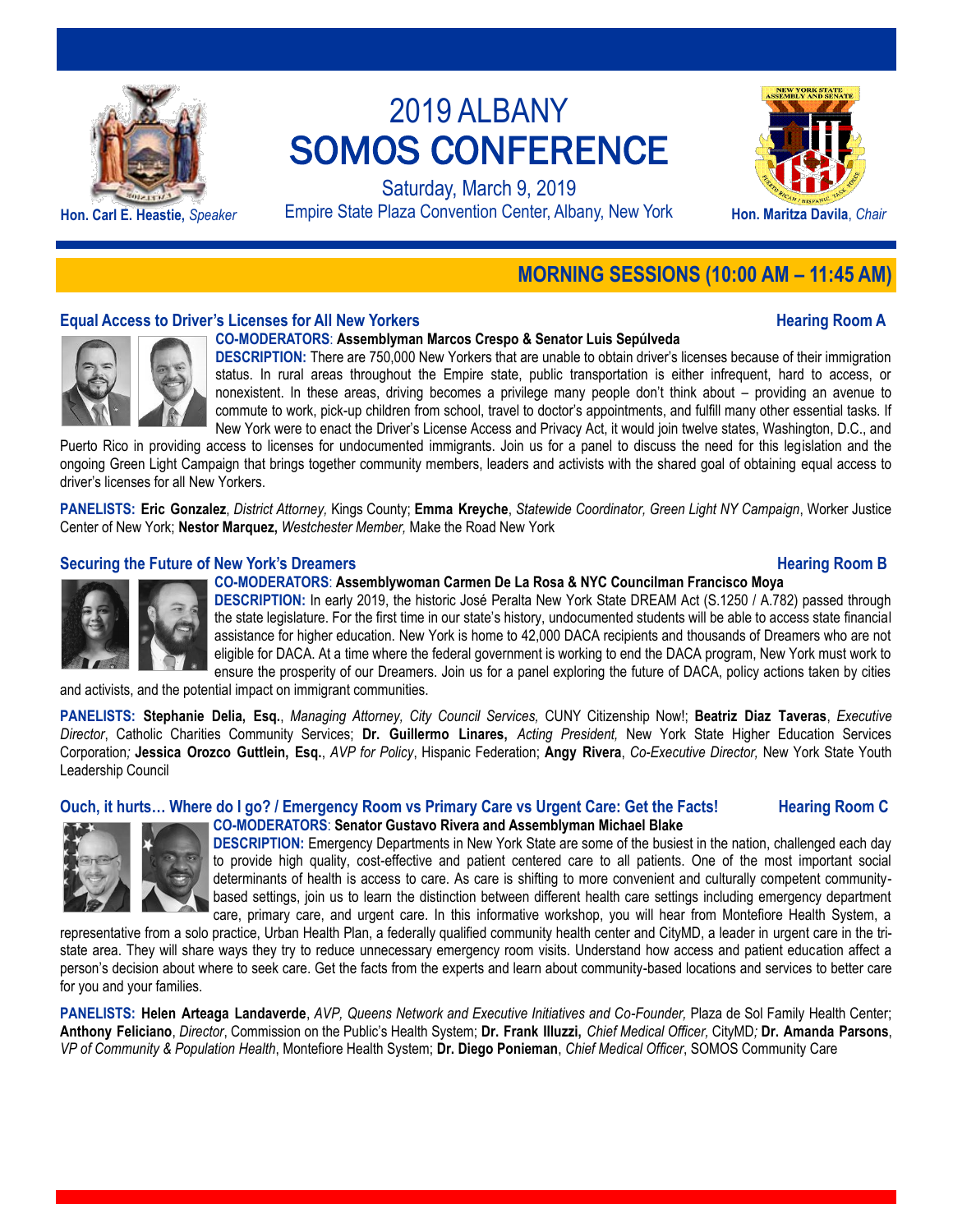

Saturday, March 9, 2019 Hon. Carl E. Heastie, *Speaker* Empire State Plaza Convention Center, Albany, New York **Hon. Maritza Davila**, *Chair* 



## **MORNING SESSIONS (10:00 AM – 11:45 AM)**

## **Equal Access to Driver's Licenses for All New Yorkers Hearing Room A**



## **CO-MODERATORS**: **Assemblyman Marcos Crespo & Senator Luis Sepúlveda**

**DESCRIPTION:** There are 750,000 New Yorkers that are unable to obtain driver's licenses because of their immigration status. In rural areas throughout the Empire state, public transportation is either infrequent, hard to access, or nonexistent. In these areas, driving becomes a privilege many people don't think about – providing an avenue to commute to work, pick-up children from school, travel to doctor's appointments, and fulfill many other essential tasks. If New York were to enact the Driver's License Access and Privacy Act, it would join twelve states, Washington, D.C., and

Puerto Rico in providing access to licenses for undocumented immigrants. Join us for a panel to discuss the need for this legislation and the ongoing Green Light Campaign that brings together community members, leaders and activists with the shared goal of obtaining equal access to driver's licenses for all New Yorkers.

**PANELISTS: Eric Gonzalez**, *District Attorney,* Kings County; **Emma Kreyche**, *Statewide Coordinator, Green Light NY Campaign*, Worker Justice Center of New York; **Nestor Marquez,** *Westchester Member,* Make the Road New York

## **Securing the Future of New York's Dreamers <b>Example 20 Example 20 Hearing Room B**

## **CO-MODERATORS**: **Assemblywoman Carmen De La Rosa & NYC Councilman Francisco Moya**

**DESCRIPTION:** In early 2019, the historic José Peralta New York State DREAM Act (S.1250 / A.782) passed through the state legislature. For the first time in our state's history, undocumented students will be able to access state financial assistance for higher education. New York is home to 42,000 DACA recipients and thousands of Dreamers who are not eligible for DACA. At a time where the federal government is working to end the DACA program, New York must work to ensure the prosperity of our Dreamers. Join us for a panel exploring the future of DACA, policy actions taken by cities

and activists, and the potential impact on immigrant communities.

**PANELISTS: Stephanie Delia, Esq.**, *Managing Attorney, City Council Services,* CUNY Citizenship Now!; **Beatriz Diaz Taveras**, *Executive Director*, Catholic Charities Community Services; **Dr. Guillermo Linares,** *Acting President,* New York State Higher Education Services Corporation*;* **Jessica Orozco Guttlein, Esq.**, *AVP for Policy*, Hispanic Federation; **Angy Rivera**, *Co-Executive Director,* New York State Youth Leadership Council

## **Ouch, it hurts… Where do I go? / Emergency Room vs Primary Care vs Urgent Care: Get the Facts! Hearing Room C**



**CO-MODERATORS**: **Senator Gustavo Rivera and Assemblyman Michael Blake DESCRIPTION:** Emergency Departments in New York State are some of the busiest in the nation, challenged each day to provide high quality, cost-effective and patient centered care to all patients. One of the most important social determinants of health is access to care. As care is shifting to more convenient and culturally competent communitybased settings, join us to learn the distinction between different health care settings including emergency department care, primary care, and urgent care. In this informative workshop, you will hear from Montefiore Health System, a

representative from a solo practice, Urban Health Plan, a federally qualified community health center and CityMD, a leader in urgent care in the tristate area. They will share ways they try to reduce unnecessary emergency room visits. Understand how access and patient education affect a person's decision about where to seek care. Get the facts from the experts and learn about community-based locations and services to better care for you and your families.

**PANELISTS: Helen Arteaga Landaverde**, *AVP, Queens Network and Executive Initiatives and Co-Founder,* Plaza de Sol Family Health Center; **Anthony Feliciano**, *Director*, Commission on the Public's Health System; **Dr. Frank Illuzzi,** *Chief Medical Officer,* CityMD*;* **Dr. Amanda Parsons**, *VP of Community & Population Health*, Montefiore Health System; **Dr. Diego Ponieman**, *Chief Medical Officer*, SOMOS Community Care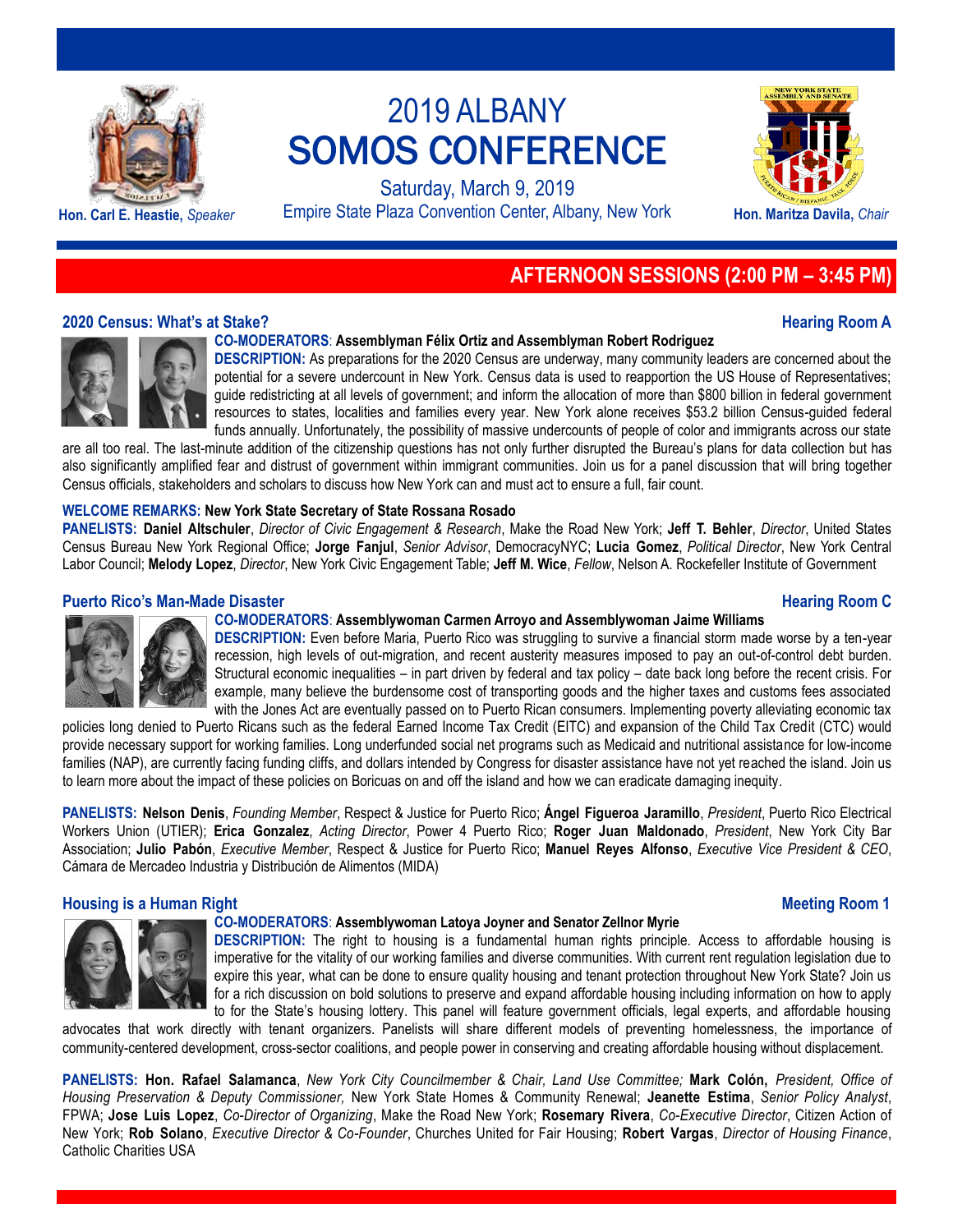

Saturday, March 9, 2019 **Hon. Carl E. Heastie,** *Speaker* Empire State Plaza Convention Center, Albany, New York **Hon. Maritza Davila,** *Chair*



## **AFTERNOON SESSIONS (2:00 PM – 3:45 PM)**

## **2020 Census: What's at Stake? Hearing Room A**



**CO-MODERATORS**: **Assemblyman Félix Ortiz and Assemblyman Robert Rodriguez**

**DESCRIPTION:** As preparations for the 2020 Census are underway, many community leaders are concerned about the potential for a severe undercount in New York. Census data is used to reapportion the US House of Representatives; guide redistricting at all levels of government; and inform the allocation of more than \$800 billion in federal government resources to states, localities and families every year. New York alone receives \$53.2 billion Census-guided federal funds annually. Unfortunately, the possibility of massive undercounts of people of color and immigrants across our state

are all too real. The last-minute addition of the citizenship questions has not only further disrupted the Bureau's plans for data collection but has also significantly amplified fear and distrust of government within immigrant communities. Join us for a panel discussion that will bring together Census officials, stakeholders and scholars to discuss how New York can and must act to ensure a full, fair count.

## **WELCOME REMARKS: New York State Secretary of State Rossana Rosado**

**PANELISTS: Daniel Altschuler**, *Director of Civic Engagement & Research*, Make the Road New York; **Jeff T. Behler**, *Director*, United States Census Bureau New York Regional Office; **Jorge Fanjul**, *Senior Advisor*, DemocracyNYC; **Lucia Gomez**, *Political Director*, New York Central Labor Council; **Melody Lopez**, *Director*, New York Civic Engagement Table; **Jeff M. Wice**, *Fellow*, Nelson A. Rockefeller Institute of Government

## **Puerto Rico's Man-Made Disaster Hearing Room C**

## **CO-MODERATORS**: **Assemblywoman Carmen Arroyo and Assemblywoman Jaime Williams**

**DESCRIPTION:** Even before Maria, Puerto Rico was struggling to survive a financial storm made worse by a ten-year recession, high levels of out-migration, and recent austerity measures imposed to pay an out-of-control debt burden. Structural economic inequalities – in part driven by federal and tax policy – date back long before the recent crisis. For example, many believe the burdensome cost of transporting goods and the higher taxes and customs fees associated with the Jones Act are eventually passed on to Puerto Rican consumers. Implementing poverty alleviating economic tax

policies long denied to Puerto Ricans such as the federal Earned Income Tax Credit (EITC) and expansion of the Child Tax Credit (CTC) would provide necessary support for working families. Long underfunded social net programs such as Medicaid and nutritional assistance for low-income families (NAP), are currently facing funding cliffs, and dollars intended by Congress for disaster assistance have not yet reached the island. Join us to learn more about the impact of these policies on Boricuas on and off the island and how we can eradicate damaging inequity.

**PANELISTS: Nelson Denis**, *Founding Member*, Respect & Justice for Puerto Rico; **Ángel Figueroa Jaramillo**, *President*, Puerto Rico Electrical Workers Union (UTIER); **Erica Gonzalez**, *Acting Director*, Power 4 Puerto Rico; **Roger Juan Maldonado**, *President*, New York City Bar Association; **Julio Pabón**, *Executive Member*, Respect & Justice for Puerto Rico; **Manuel Reyes Alfonso**, *Executive Vice President & CEO*, Cámara de Mercadeo Industria y Distribución de Alimentos (MIDA)

## **Housing is a Human Right Meeting Room 1**



## **CO-MODERATORS**: **Assemblywoman Latoya Joyner and Senator Zellnor Myrie**

**DESCRIPTION:** The right to housing is a fundamental human rights principle. Access to affordable housing is imperative for the vitality of our working families and diverse communities. With current rent regulation legislation due to expire this year, what can be done to ensure quality housing and tenant protection throughout New York State? Join us for a rich discussion on bold solutions to preserve and expand affordable housing including information on how to apply to for the State's housing lottery. This panel will feature government officials, legal experts, and affordable housing

advocates that work directly with tenant organizers. Panelists will share different models of preventing homelessness, the importance of community-centered development, cross-sector coalitions, and people power in conserving and creating affordable housing without displacement.

**PANELISTS: Hon. Rafael Salamanca**, *New York City Councilmember & Chair, Land Use Committee;* **Mark Colón,** *President, Office of Housing Preservation & Deputy Commissioner,* New York State Homes & Community Renewal; **Jeanette Estima**, *Senior Policy Analyst*, FPWA; **Jose Luis Lopez**, *Co-Director of Organizing*, Make the Road New York; **Rosemary Rivera**, *Co-Executive Director*, Citizen Action of New York; **Rob Solano**, *Executive Director & Co-Founder*, Churches United for Fair Housing; **Robert Vargas**, *Director of Housing Finance*, Catholic Charities USA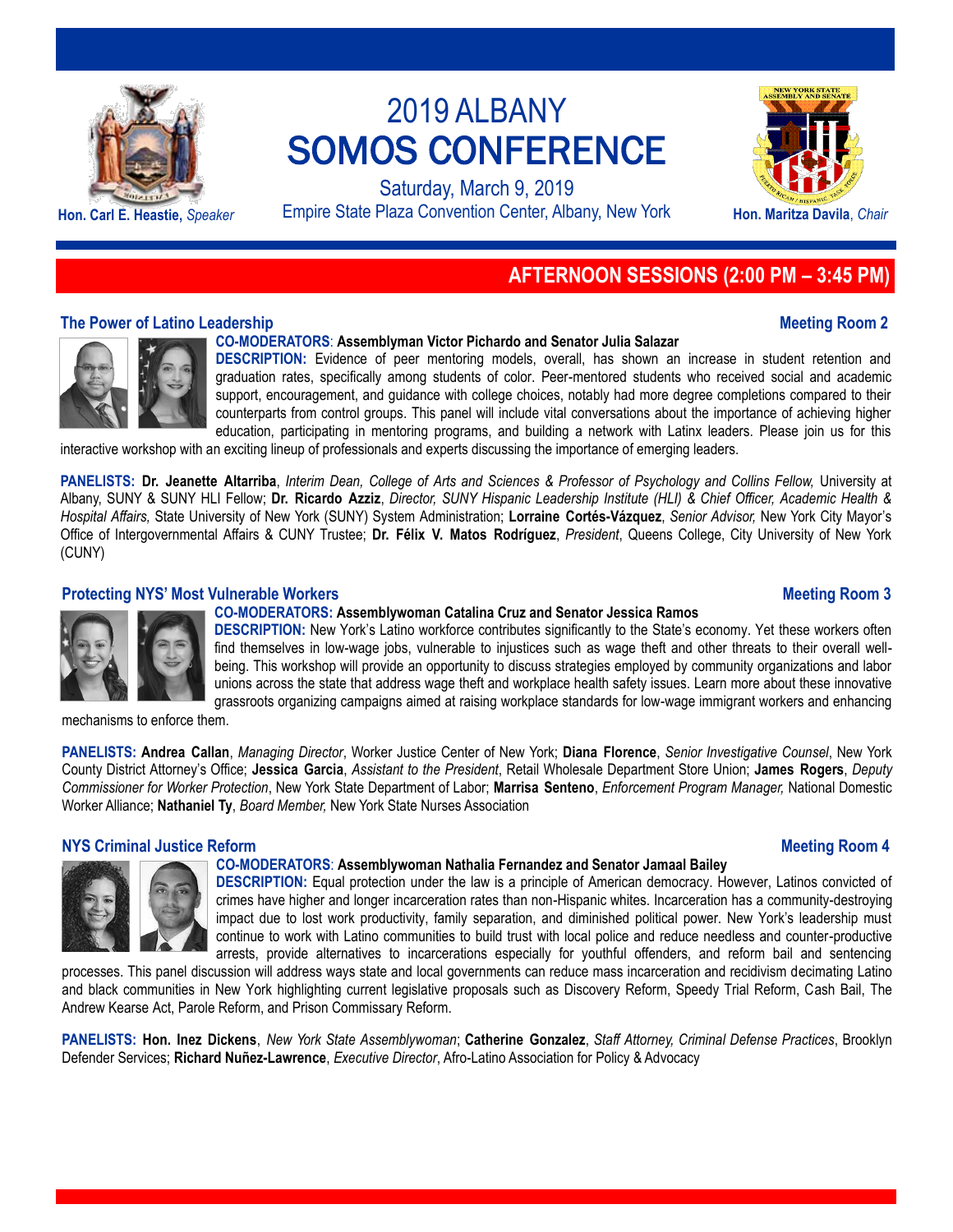

Saturday, March 9, 2019 Hon. Carl E. Heastie, *Speaker* Empire State Plaza Convention Center, Albany, New York **Hon. Maritza Davila**, *Chair* 



## **AFTERNOON SESSIONS (2:00 PM – 3:45 PM)**

## **The Power of Latino Leadership Meeting Room 2**

### **CO-MODERATORS**: **Assemblyman Victor Pichardo and Senator Julia Salazar**

**DESCRIPTION:** Evidence of peer mentoring models, overall, has shown an increase in student retention and graduation rates, specifically among students of color. Peer-mentored students who received social and academic support, encouragement, and guidance with college choices, notably had more degree completions compared to their counterparts from control groups. This panel will include vital conversations about the importance of achieving higher education, participating in mentoring programs, and building a network with Latinx leaders. Please join us for this

interactive workshop with an exciting lineup of professionals and experts discussing the importance of emerging leaders.

**PANELISTS: Dr. Jeanette Altarriba**, *Interim Dean, College of Arts and Sciences & Professor of Psychology and Collins Fellow,* University at Albany, SUNY & SUNY HLI Fellow; **Dr. Ricardo Azziz**, *Director, SUNY Hispanic Leadership Institute (HLI) & Chief Officer, Academic Health & Hospital Affairs,* State University of New York (SUNY) System Administration; **Lorraine Cortés-Vázquez**, *Senior Advisor,* New York City Mayor's Office of Intergovernmental Affairs & CUNY Trustee; **Dr. Félix V. Matos Rodríguez**, *President*, Queens College, City University of New York (CUNY)

## **Protecting NYS' Most Vulnerable Workers Meeting Room 3**

## **CO-MODERATORS: Assemblywoman Catalina Cruz and Senator Jessica Ramos**

**DESCRIPTION:** New York's Latino workforce contributes significantly to the State's economy. Yet these workers often find themselves in low-wage jobs, vulnerable to injustices such as wage theft and other threats to their overall wellbeing. This workshop will provide an opportunity to discuss strategies employed by community organizations and labor unions across the state that address wage theft and workplace health safety issues. Learn more about these innovative grassroots organizing campaigns aimed at raising workplace standards for low-wage immigrant workers and enhancing

mechanisms to enforce them.

**PANELISTS: Andrea Callan**, *Managing Director*, Worker Justice Center of New York; **Diana Florence**, *Senior Investigative Counsel*, New York County District Attorney's Office; **Jessica Garcia**, *Assistant to the President*, Retail Wholesale Department Store Union; **James Rogers**, *Deputy Commissioner for Worker Protection*, New York State Department of Labor; **Marrisa Senteno**, *Enforcement Program Manager,* National Domestic Worker Alliance; **Nathaniel Ty**, *Board Member,* New York State Nurses Association

### **NYS Criminal Justice Reform And Account 2009 12:00 No. 2009 12:00 No. 2009 12:00 No. 2009 12:00 No. 40 No. 40 No. 40 No. 40 No. 40 No. 40 No. 40 No. 40 No. 40 No. 40 No. 40 No. 40 No. 40 No. 40 No. 40 No. 40 No. 40 No. 40**

### **CO-MODERATORS**: **Assemblywoman Nathalia Fernandez and Senator Jamaal Bailey**

**DESCRIPTION:** Equal protection under the law is a principle of American democracy. However, Latinos convicted of crimes have higher and longer incarceration rates than non-Hispanic whites. Incarceration has a community-destroying impact due to lost work productivity, family separation, and diminished political power. New York's leadership must continue to work with Latino communities to build trust with local police and reduce needless and counter-productive arrests, provide alternatives to incarcerations especially for youthful offenders, and reform bail and sentencing

processes. This panel discussion will address ways state and local governments can reduce mass incarceration and recidivism decimating Latino and black communities in New York highlighting current legislative proposals such as Discovery Reform, Speedy Trial Reform, Cash Bail, The Andrew Kearse Act, Parole Reform, and Prison Commissary Reform.

**PANELISTS: Hon. Inez Dickens**, *New York State Assemblywoman*; **Catherine Gonzalez**, *Staff Attorney, Criminal Defense Practices*, Brooklyn Defender Services; **Richard Nuñez-Lawrence**, *Executive Director*, Afro-Latino Association for Policy & Advocacy